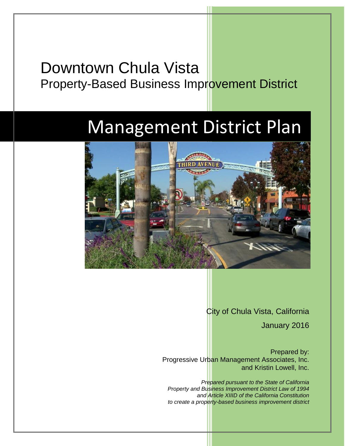## Downtown Chula Vista Property-Based Business Improvement District

# Management District Plan



City of Chula Vista, California

January 2016

Prepared by: Progressive Urban Management Associates, Inc. and Kristin Lowell, Inc.

*Prepared pursuant to the State of California Property and Business Improvement District Law of 1994 and Article XIIID of the California Constitution to create a property-based business improvement district*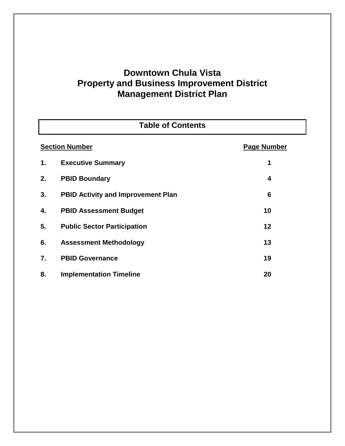## **Downtown Chula Vista Property and Business Improvement District Management District Plan**

| <b>Table of Contents</b>                    |                                           |    |  |  |
|---------------------------------------------|-------------------------------------------|----|--|--|
| <b>Section Number</b><br><b>Page Number</b> |                                           |    |  |  |
| 1.                                          | <b>Executive Summary</b>                  | 1  |  |  |
| 2.                                          | <b>PBID Boundary</b>                      | 4  |  |  |
| 3.                                          | <b>PBID Activity and Improvement Plan</b> | 6  |  |  |
| 4.                                          | <b>PBID Assessment Budget</b>             | 10 |  |  |
| 5.                                          | <b>Public Sector Participation</b>        | 12 |  |  |
| 6.                                          | <b>Assessment Methodology</b>             | 13 |  |  |
| 7.                                          | <b>PBID Governance</b>                    | 19 |  |  |
| 8.                                          | <b>Implementation Timeline</b>            | 20 |  |  |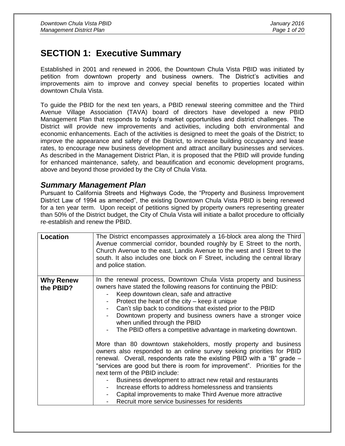## **SECTION 1: Executive Summary**

Established in 2001 and renewed in 2006, the Downtown Chula Vista PBID was initiated by petition from downtown property and business owners. The District's activities and improvements aim to improve and convey special benefits to properties located within downtown Chula Vista.

To guide the PBID for the next ten years, a PBID renewal steering committee and the Third Avenue Village Association (TAVA) board of directors have developed a new PBID Management Plan that responds to today's market opportunities and district challenges. The District will provide new improvements and activities, including both environmental and economic enhancements. Each of the activities is designed to meet the goals of the District; to improve the appearance and safety of the District, to increase building occupancy and lease rates, to encourage new business development and attract ancillary businesses and services. As described in the Management District Plan, it is proposed that the PBID will provide funding for enhanced maintenance, safety, and beautification and economic development programs, above and beyond those provided by the City of Chula Vista.

#### *Summary Management Plan*

Pursuant to California Streets and Highways Code, the "Property and Business Improvement District Law of 1994 as amended", the existing Downtown Chula Vista PBID is being renewed for a ten year term. Upon receipt of petitions signed by property owners representing greater than 50% of the District budget, the City of Chula Vista will initiate a ballot procedure to officially re-establish and renew the PBID.

| Location                      | The District encompasses approximately a 16-block area along the Third<br>Avenue commercial corridor, bounded roughly by E Street to the north,<br>Church Avenue to the east, Landis Avenue to the west and I Street to the<br>south. It also includes one block on F Street, including the central library<br>and police station.                                                                                                                                                                                                                                                                                                                                                                                                                                                                                                                                                                                                                                                                                                                           |
|-------------------------------|--------------------------------------------------------------------------------------------------------------------------------------------------------------------------------------------------------------------------------------------------------------------------------------------------------------------------------------------------------------------------------------------------------------------------------------------------------------------------------------------------------------------------------------------------------------------------------------------------------------------------------------------------------------------------------------------------------------------------------------------------------------------------------------------------------------------------------------------------------------------------------------------------------------------------------------------------------------------------------------------------------------------------------------------------------------|
| <b>Why Renew</b><br>the PBID? | In the renewal process, Downtown Chula Vista property and business<br>owners have stated the following reasons for continuing the PBID:<br>Keep downtown clean, safe and attractive<br>Protect the heart of the city - keep it unique<br>$\overline{\phantom{a}}$<br>Can't slip back to conditions that existed prior to the PBID<br>Downtown property and business owners have a stronger voice<br>$\overline{\phantom{a}}$<br>when unified through the PBID<br>The PBID offers a competitive advantage in marketing downtown.<br>More than 80 downtown stakeholders, mostly property and business<br>owners also responded to an online survey seeking priorities for PBID<br>renewal. Overall, respondents rate the existing PBID with a "B" grade -<br>"services are good but there is room for improvement". Priorities for the<br>next term of the PBID include:<br>Business development to attract new retail and restaurants<br>Increase efforts to address homelessness and transients<br>Capital improvements to make Third Avenue more attractive |
|                               | Recruit more service businesses for residents                                                                                                                                                                                                                                                                                                                                                                                                                                                                                                                                                                                                                                                                                                                                                                                                                                                                                                                                                                                                                |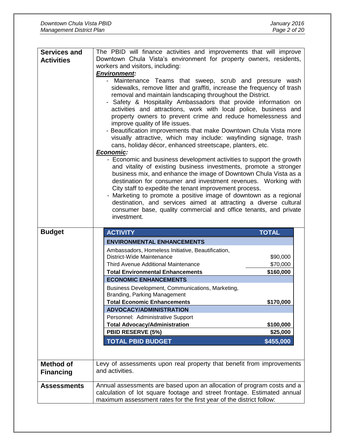| <b>Services and</b> | The PBID will finance activities and improvements that will improve                                                                                                                                                                                                                                                                                                                                                                                                                                                                                                                                                                                                                                                                                                                                                                                                                                                                                                                                                                                                                                                                                                                                                                    |  |  |  |  |
|---------------------|----------------------------------------------------------------------------------------------------------------------------------------------------------------------------------------------------------------------------------------------------------------------------------------------------------------------------------------------------------------------------------------------------------------------------------------------------------------------------------------------------------------------------------------------------------------------------------------------------------------------------------------------------------------------------------------------------------------------------------------------------------------------------------------------------------------------------------------------------------------------------------------------------------------------------------------------------------------------------------------------------------------------------------------------------------------------------------------------------------------------------------------------------------------------------------------------------------------------------------------|--|--|--|--|
| <b>Activities</b>   | Downtown Chula Vista's environment for property owners, residents,                                                                                                                                                                                                                                                                                                                                                                                                                                                                                                                                                                                                                                                                                                                                                                                                                                                                                                                                                                                                                                                                                                                                                                     |  |  |  |  |
|                     | workers and visitors, including:                                                                                                                                                                                                                                                                                                                                                                                                                                                                                                                                                                                                                                                                                                                                                                                                                                                                                                                                                                                                                                                                                                                                                                                                       |  |  |  |  |
|                     | <b>Environment:</b>                                                                                                                                                                                                                                                                                                                                                                                                                                                                                                                                                                                                                                                                                                                                                                                                                                                                                                                                                                                                                                                                                                                                                                                                                    |  |  |  |  |
|                     | - Maintenance Teams that sweep, scrub and pressure wash<br>sidewalks, remove litter and graffiti, increase the frequency of trash<br>removal and maintain landscaping throughout the District.<br>Safety & Hospitality Ambassadors that provide information on<br>-<br>activities and attractions, work with local police, business and<br>property owners to prevent crime and reduce homelessness and<br>improve quality of life issues.<br>- Beautification improvements that make Downtown Chula Vista more<br>visually attractive, which may include: wayfinding signage, trash<br>cans, holiday décor, enhanced streetscape, planters, etc.<br>Economic:<br>- Economic and business development activities to support the growth<br>and vitality of existing business investments, promote a stronger<br>business mix, and enhance the image of Downtown Chula Vista as a<br>destination for consumer and investment revenues. Working with<br>City staff to expedite the tenant improvement process.<br>Marketing to promote a positive image of downtown as a regional<br>destination, and services aimed at attracting a diverse cultural<br>consumer base, quality commercial and office tenants, and private<br>investment. |  |  |  |  |
|                     |                                                                                                                                                                                                                                                                                                                                                                                                                                                                                                                                                                                                                                                                                                                                                                                                                                                                                                                                                                                                                                                                                                                                                                                                                                        |  |  |  |  |
|                     |                                                                                                                                                                                                                                                                                                                                                                                                                                                                                                                                                                                                                                                                                                                                                                                                                                                                                                                                                                                                                                                                                                                                                                                                                                        |  |  |  |  |
| <b>Budget</b>       | <b>TOTAL</b><br><b>ACTIVITY</b>                                                                                                                                                                                                                                                                                                                                                                                                                                                                                                                                                                                                                                                                                                                                                                                                                                                                                                                                                                                                                                                                                                                                                                                                        |  |  |  |  |
|                     | <b>ENVIRONMENTAL ENHANCEMENTS</b>                                                                                                                                                                                                                                                                                                                                                                                                                                                                                                                                                                                                                                                                                                                                                                                                                                                                                                                                                                                                                                                                                                                                                                                                      |  |  |  |  |
|                     | Ambassadors, Homeless Initiative, Beautification,                                                                                                                                                                                                                                                                                                                                                                                                                                                                                                                                                                                                                                                                                                                                                                                                                                                                                                                                                                                                                                                                                                                                                                                      |  |  |  |  |
|                     | District-Wide Maintenance<br>\$90,000                                                                                                                                                                                                                                                                                                                                                                                                                                                                                                                                                                                                                                                                                                                                                                                                                                                                                                                                                                                                                                                                                                                                                                                                  |  |  |  |  |
|                     | Third Avenue Additional Maintenance<br>\$70,000                                                                                                                                                                                                                                                                                                                                                                                                                                                                                                                                                                                                                                                                                                                                                                                                                                                                                                                                                                                                                                                                                                                                                                                        |  |  |  |  |
|                     | <b>Total Environmental Enhancements</b><br>\$160,000                                                                                                                                                                                                                                                                                                                                                                                                                                                                                                                                                                                                                                                                                                                                                                                                                                                                                                                                                                                                                                                                                                                                                                                   |  |  |  |  |
|                     | <b>ECONOMIC ENHANCEMENTS</b>                                                                                                                                                                                                                                                                                                                                                                                                                                                                                                                                                                                                                                                                                                                                                                                                                                                                                                                                                                                                                                                                                                                                                                                                           |  |  |  |  |
|                     | Business Development, Communications, Marketing,                                                                                                                                                                                                                                                                                                                                                                                                                                                                                                                                                                                                                                                                                                                                                                                                                                                                                                                                                                                                                                                                                                                                                                                       |  |  |  |  |
|                     | Branding, Parking Management<br>Total Economic Enhancements<br>\$170,000                                                                                                                                                                                                                                                                                                                                                                                                                                                                                                                                                                                                                                                                                                                                                                                                                                                                                                                                                                                                                                                                                                                                                               |  |  |  |  |
|                     | <b>ADVOCACY/ADMINISTRATION</b>                                                                                                                                                                                                                                                                                                                                                                                                                                                                                                                                                                                                                                                                                                                                                                                                                                                                                                                                                                                                                                                                                                                                                                                                         |  |  |  |  |
|                     | Personnel: Administrative Support                                                                                                                                                                                                                                                                                                                                                                                                                                                                                                                                                                                                                                                                                                                                                                                                                                                                                                                                                                                                                                                                                                                                                                                                      |  |  |  |  |
|                     | <b>Total Advocacy/Administration</b><br>\$100,000                                                                                                                                                                                                                                                                                                                                                                                                                                                                                                                                                                                                                                                                                                                                                                                                                                                                                                                                                                                                                                                                                                                                                                                      |  |  |  |  |
|                     | PBID RESERVE (5%)<br>\$25,000                                                                                                                                                                                                                                                                                                                                                                                                                                                                                                                                                                                                                                                                                                                                                                                                                                                                                                                                                                                                                                                                                                                                                                                                          |  |  |  |  |
|                     | <b>TOTAL PBID BUDGET</b><br>\$455,000                                                                                                                                                                                                                                                                                                                                                                                                                                                                                                                                                                                                                                                                                                                                                                                                                                                                                                                                                                                                                                                                                                                                                                                                  |  |  |  |  |
|                     |                                                                                                                                                                                                                                                                                                                                                                                                                                                                                                                                                                                                                                                                                                                                                                                                                                                                                                                                                                                                                                                                                                                                                                                                                                        |  |  |  |  |
|                     |                                                                                                                                                                                                                                                                                                                                                                                                                                                                                                                                                                                                                                                                                                                                                                                                                                                                                                                                                                                                                                                                                                                                                                                                                                        |  |  |  |  |
| <b>Method of</b>    | Levy of assessments upon real property that benefit from improvements<br>and activities.                                                                                                                                                                                                                                                                                                                                                                                                                                                                                                                                                                                                                                                                                                                                                                                                                                                                                                                                                                                                                                                                                                                                               |  |  |  |  |
| <b>Financing</b>    |                                                                                                                                                                                                                                                                                                                                                                                                                                                                                                                                                                                                                                                                                                                                                                                                                                                                                                                                                                                                                                                                                                                                                                                                                                        |  |  |  |  |
| <b>Assessments</b>  | Annual assessments are based upon an allocation of program costs and a                                                                                                                                                                                                                                                                                                                                                                                                                                                                                                                                                                                                                                                                                                                                                                                                                                                                                                                                                                                                                                                                                                                                                                 |  |  |  |  |
|                     | calculation of lot square footage and street frontage. Estimated annual<br>maximum assessment rates for the first year of the district follow:                                                                                                                                                                                                                                                                                                                                                                                                                                                                                                                                                                                                                                                                                                                                                                                                                                                                                                                                                                                                                                                                                         |  |  |  |  |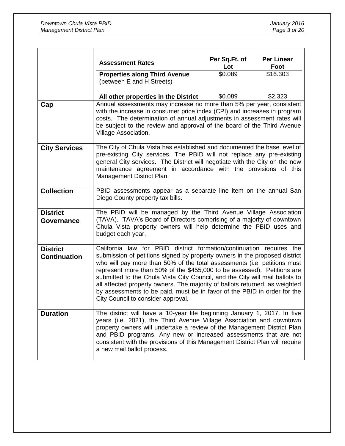|                                        | <b>Assessment Rates</b>                                                                                                                                                                                                                                                                                                                                                                                                                                                                                                                                                                    | Per Sq.Ft. of<br>Lot | <b>Per Linear</b><br>Foot |  |  |  |
|----------------------------------------|--------------------------------------------------------------------------------------------------------------------------------------------------------------------------------------------------------------------------------------------------------------------------------------------------------------------------------------------------------------------------------------------------------------------------------------------------------------------------------------------------------------------------------------------------------------------------------------------|----------------------|---------------------------|--|--|--|
|                                        | <b>Properties along Third Avenue</b><br>(between E and H Streets)                                                                                                                                                                                                                                                                                                                                                                                                                                                                                                                          | \$0.089              | \$16.303                  |  |  |  |
|                                        | All other properties in the District                                                                                                                                                                                                                                                                                                                                                                                                                                                                                                                                                       | \$0.089              | \$2.323                   |  |  |  |
| Cap                                    | Annual assessments may increase no more than 5% per year, consistent<br>with the increase in consumer price index (CPI) and increases in program<br>costs. The determination of annual adjustments in assessment rates will<br>be subject to the review and approval of the board of the Third Avenue<br>Village Association.                                                                                                                                                                                                                                                              |                      |                           |  |  |  |
| <b>City Services</b>                   | The City of Chula Vista has established and documented the base level of<br>pre-existing City services. The PBID will not replace any pre-existing<br>general City services. The District will negotiate with the City on the new<br>maintenance agreement in accordance with the provisions of this<br>Management District Plan.                                                                                                                                                                                                                                                          |                      |                           |  |  |  |
| <b>Collection</b>                      | PBID assessments appear as a separate line item on the annual San<br>Diego County property tax bills.                                                                                                                                                                                                                                                                                                                                                                                                                                                                                      |                      |                           |  |  |  |
| <b>District</b><br>Governance          | The PBID will be managed by the Third Avenue Village Association<br>(TAVA). TAVA's Board of Directors comprising of a majority of downtown<br>Chula Vista property owners will help determine the PBID uses and<br>budget each year.                                                                                                                                                                                                                                                                                                                                                       |                      |                           |  |  |  |
| <b>District</b><br><b>Continuation</b> | California law for PBID district formation/continuation requires the<br>submission of petitions signed by property owners in the proposed district<br>who will pay more than 50% of the total assessments (i.e. petitions must<br>represent more than 50% of the \$455,000 to be assessed). Petitions are<br>submitted to the Chula Vista City Council, and the City will mail ballots to<br>all affected property owners. The majority of ballots returned, as weighted<br>by assessments to be paid, must be in favor of the PBID in order for the<br>City Council to consider approval. |                      |                           |  |  |  |
| <b>Duration</b>                        | The district will have a 10-year life beginning January 1, 2017. In five<br>years (i.e. 2021), the Third Avenue Village Association and downtown<br>property owners will undertake a review of the Management District Plan<br>and PBID programs. Any new or increased assessments that are not<br>consistent with the provisions of this Management District Plan will require<br>a new mail ballot process.                                                                                                                                                                              |                      |                           |  |  |  |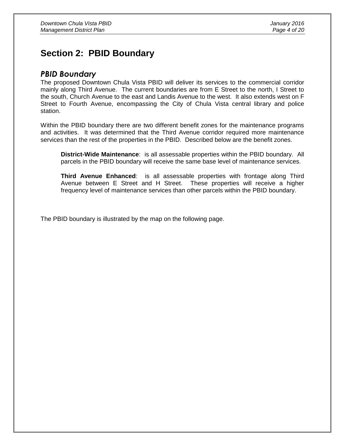## **Section 2: PBID Boundary**

#### *PBID Boundary*

The proposed Downtown Chula Vista PBID will deliver its services to the commercial corridor mainly along Third Avenue. The current boundaries are from E Street to the north, I Street to the south, Church Avenue to the east and Landis Avenue to the west. It also extends west on F Street to Fourth Avenue, encompassing the City of Chula Vista central library and police station.

Within the PBID boundary there are two different benefit zones for the maintenance programs and activities. It was determined that the Third Avenue corridor required more maintenance services than the rest of the properties in the PBID. Described below are the benefit zones.

**District-Wide Maintenance**: is all assessable properties within the PBID boundary. All parcels in the PBID boundary will receive the same base level of maintenance services.

**Third Avenue Enhanced**: is all assessable properties with frontage along Third Avenue between E Street and H Street. These properties will receive a higher frequency level of maintenance services than other parcels within the PBID boundary.

The PBID boundary is illustrated by the map on the following page.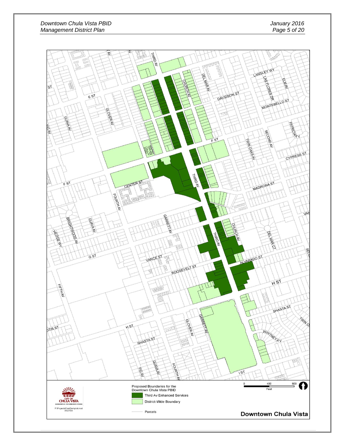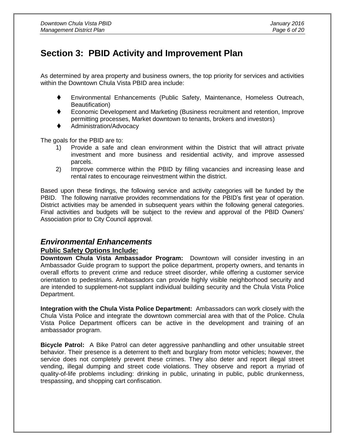## **Section 3: PBID Activity and Improvement Plan**

As determined by area property and business owners, the top priority for services and activities within the Downtown Chula Vista PBID area include:

- Environmental Enhancements (Public Safety, Maintenance, Homeless Outreach, Beautification)
- Economic Development and Marketing (Business recruitment and retention, Improve permitting processes, Market downtown to tenants, brokers and investors)
- Administration/Advocacy

The goals for the PBID are to:

- 1) Provide a safe and clean environment within the District that will attract private investment and more business and residential activity, and improve assessed parcels.
- 2) Improve commerce within the PBID by filling vacancies and increasing lease and rental rates to encourage reinvestment within the district.

Based upon these findings, the following service and activity categories will be funded by the PBID. The following narrative provides recommendations for the PBID's first year of operation. District activities may be amended in subsequent years within the following general categories. Final activities and budgets will be subject to the review and approval of the PBID Owners' Association prior to City Council approval.

#### *Environmental Enhancements*

#### **Public Safety Options Include:**

**Downtown Chula Vista Ambassador Program:** Downtown will consider investing in an Ambassador Guide program to support the police department, property owners, and tenants in overall efforts to prevent crime and reduce street disorder, while offering a customer service orientation to pedestrians. Ambassadors can provide highly visible neighborhood security and are intended to supplement-not supplant individual building security and the Chula Vista Police Department.

**Integration with the Chula Vista Police Department:** Ambassadors can work closely with the Chula Vista Police and integrate the downtown commercial area with that of the Police. Chula Vista Police Department officers can be active in the development and training of an ambassador program.

**Bicycle Patrol:** A Bike Patrol can deter aggressive panhandling and other unsuitable street behavior. Their presence is a deterrent to theft and burglary from motor vehicles; however, the service does not completely prevent these crimes. They also deter and report illegal street vending, illegal dumping and street code violations. They observe and report a myriad of quality-of-life problems including: drinking in public, urinating in public, public drunkenness, trespassing, and shopping cart confiscation.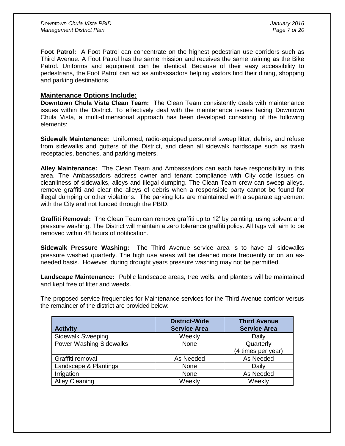**Foot Patrol:** A Foot Patrol can concentrate on the highest pedestrian use corridors such as Third Avenue. A Foot Patrol has the same mission and receives the same training as the Bike Patrol. Uniforms and equipment can be identical. Because of their easy accessibility to pedestrians, the Foot Patrol can act as ambassadors helping visitors find their dining, shopping and parking destinations.

#### **Maintenance Options Include:**

**Downtown Chula Vista Clean Team:** The Clean Team consistently deals with maintenance issues within the District. To effectively deal with the maintenance issues facing Downtown Chula Vista, a multi-dimensional approach has been developed consisting of the following elements:

**Sidewalk Maintenance:** Uniformed, radio-equipped personnel sweep litter, debris, and refuse from sidewalks and gutters of the District, and clean all sidewalk hardscape such as trash receptacles, benches, and parking meters.

**Alley Maintenance:** The Clean Team and Ambassadors can each have responsibility in this area. The Ambassadors address owner and tenant compliance with City code issues on cleanliness of sidewalks, alleys and illegal dumping. The Clean Team crew can sweep alleys, remove graffiti and clear the alleys of debris when a responsible party cannot be found for illegal dumping or other violations. The parking lots are maintained with a separate agreement with the City and not funded through the PBID.

**Graffiti Removal:** The Clean Team can remove graffiti up to 12' by painting, using solvent and pressure washing. The District will maintain a zero tolerance graffiti policy. All tags will aim to be removed within 48 hours of notification.

**Sidewalk Pressure Washing:** The Third Avenue service area is to have all sidewalks pressure washed quarterly. The high use areas will be cleaned more frequently or on an asneeded basis. However, during drought years pressure washing may not be permitted.

**Landscape Maintenance:** Public landscape areas, tree wells, and planters will be maintained and kept free of litter and weeds.

The proposed service frequencies for Maintenance services for the Third Avenue corridor versus the remainder of the district are provided below:

| <b>Activity</b>                | <b>District-Wide</b><br><b>Service Area</b> | <b>Third Avenue</b><br><b>Service Area</b> |
|--------------------------------|---------------------------------------------|--------------------------------------------|
| <b>Sidewalk Sweeping</b>       | Weekly                                      | Daily                                      |
| <b>Power Washing Sidewalks</b> | None                                        | Quarterly                                  |
|                                |                                             | (4 times per year)                         |
| Graffiti removal               | As Needed                                   | As Needed                                  |
| Landscape & Plantings          | None                                        | Daily                                      |
| Irrigation                     | None                                        | As Needed                                  |
| <b>Alley Cleaning</b>          | Weekly                                      | Weekly                                     |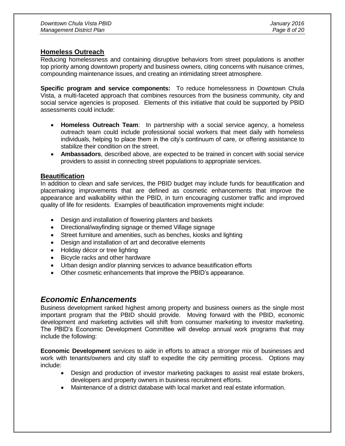#### **Homeless Outreach**

Reducing homelessness and containing disruptive behaviors from street populations is another top priority among downtown property and business owners, citing concerns with nuisance crimes, compounding maintenance issues, and creating an intimidating street atmosphere.

**Specific program and service components:** To reduce homelessness in Downtown Chula Vista, a multi-faceted approach that combines resources from the business community, city and social service agencies is proposed. Elements of this initiative that could be supported by PBID assessments could include:

- **Homeless Outreach Team**: In partnership with a social service agency, a homeless outreach team could include professional social workers that meet daily with homeless individuals, helping to place them in the city's continuum of care, or offering assistance to stabilize their condition on the street.
- **Ambassadors**, described above, are expected to be trained in concert with social service providers to assist in connecting street populations to appropriate services.

#### **Beautification**

In addition to clean and safe services, the PBID budget may include funds for beautification and placemaking improvements that are defined as cosmetic enhancements that improve the appearance and walkability within the PBID, in turn encouraging customer traffic and improved quality of life for residents. Examples of beautification improvements might include:

- Design and installation of flowering planters and baskets
- Directional/wayfinding signage or themed Village signage
- Street furniture and amenities, such as benches, kiosks and lighting
- Design and installation of art and decorative elements
- Holiday décor or tree lighting
- Bicycle racks and other hardware
- Urban design and/or planning services to advance beautification efforts
- Other cosmetic enhancements that improve the PBID's appearance.

#### *Economic Enhancements*

Business development ranked highest among property and business owners as the single most important program that the PBID should provide. Moving forward with the PBID, economic development and marketing activities will shift from consumer marketing to investor marketing. The PBID's Economic Development Committee will develop annual work programs that may include the following:

**Economic Development** services to aide in efforts to attract a stronger mix of businesses and work with tenants/owners and city staff to expedite the city permitting process. Options may include:

- Design and production of investor marketing packages to assist real estate brokers, developers and property owners in business recruitment efforts.
- Maintenance of a district database with local market and real estate information.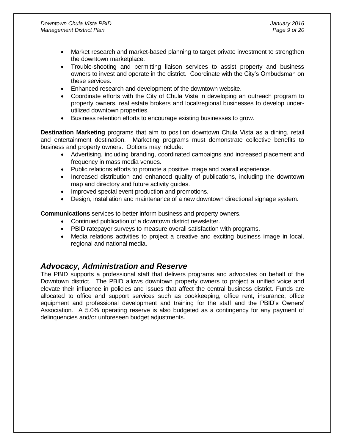- Market research and market-based planning to target private investment to strengthen the downtown marketplace.
- Trouble-shooting and permitting liaison services to assist property and business owners to invest and operate in the district. Coordinate with the City's Ombudsman on these services.
- Enhanced research and development of the downtown website.
- Coordinate efforts with the City of Chula Vista in developing an outreach program to property owners, real estate brokers and local/regional businesses to develop underutilized downtown properties.
- Business retention efforts to encourage existing businesses to grow.

**Destination Marketing** programs that aim to position downtown Chula Vista as a dining, retail and entertainment destination. Marketing programs must demonstrate collective benefits to business and property owners. Options may include:

- Advertising, including branding, coordinated campaigns and increased placement and frequency in mass media venues.
- Public relations efforts to promote a positive image and overall experience.
- Increased distribution and enhanced quality of publications, including the downtown map and directory and future activity guides.
- Improved special event production and promotions.
- Design, installation and maintenance of a new downtown directional signage system.

**Communications** services to better inform business and property owners.

- Continued publication of a downtown district newsletter.
- PBID ratepayer surveys to measure overall satisfaction with programs.
- Media relations activities to project a creative and exciting business image in local, regional and national media.

#### *Advocacy, Administration and Reserve*

The PBID supports a professional staff that delivers programs and advocates on behalf of the Downtown district. The PBID allows downtown property owners to project a unified voice and elevate their influence in policies and issues that affect the central business district. Funds are allocated to office and support services such as bookkeeping, office rent, insurance, office equipment and professional development and training for the staff and the PBID's Owners' Association. A 5.0% operating reserve is also budgeted as a contingency for any payment of delinquencies and/or unforeseen budget adjustments.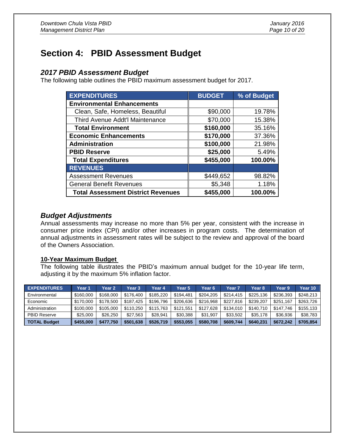## **Section 4: PBID Assessment Budget**

#### *2017 PBID Assessment Budget*

The following table outlines the PBID maximum assessment budget for 2017.

| <b>EXPENDITURES</b>                       | <b>BUDGET</b> | % of Budget |
|-------------------------------------------|---------------|-------------|
| <b>Environmental Enhancements</b>         |               |             |
| Clean, Safe, Homeless, Beautiful          | \$90,000      | 19.78%      |
| Third Avenue Addt'l Maintenance           | \$70,000      | 15.38%      |
| <b>Total Environment</b>                  | \$160,000     | 35.16%      |
| <b>Economic Enhancements</b>              | \$170,000     | 37.36%      |
| Administration                            | \$100,000     | 21.98%      |
| <b>PBID Reserve</b>                       | \$25,000      | 5.49%       |
| <b>Total Expenditures</b>                 | \$455,000     | 100.00%     |
| <b>REVENUES</b>                           |               |             |
| <b>Assessment Revenues</b>                | \$449,652     | 98.82%      |
| <b>General Benefit Revenues</b>           | \$5,348       | 1.18%       |
| <b>Total Assessment District Revenues</b> | \$455,000     | 100.00%     |

#### *Budget Adjustments*

Annual assessments may increase no more than 5% per year, consistent with the increase in consumer price index (CPI) and/or other increases in program costs. The determination of annual adjustments in assessment rates will be subject to the review and approval of the board of the Owners Association.

#### **10-Year Maximum Budget**

The following table illustrates the PBID's maximum annual budget for the 10-year life term, adjusting it by the maximum 5% inflation factor.

| <b>EXPENDITURES</b> | Year 1    | Year 2    | Year 3    | Year 4    | Year 5    | Year 6    | Year 7    | Year 8    | Year 9    | Year 10   |
|---------------------|-----------|-----------|-----------|-----------|-----------|-----------|-----------|-----------|-----------|-----------|
| Environmental       | \$160,000 | \$168,000 | \$176,400 | \$185.220 | \$194.481 | \$204.205 | \$214.415 | \$225.136 | \$236.393 | \$248.213 |
| Economic            | \$170,000 | \$178,500 | \$187.425 | \$196.796 | \$206.636 | \$216,968 | \$227.816 | \$239.207 | \$251.167 | \$263,726 |
| Administration      | \$100,000 | \$105,000 | \$110.250 | \$115,763 | \$121.551 | \$127.628 | \$134.010 | \$140.710 | \$147.746 | \$155.133 |
| <b>PBID Reserve</b> | \$25,000  | \$26,250  | \$27.563  | \$28.941  | \$30.388  | \$31.907  | \$33.502  | \$35.178  | \$36.936  | \$38,783  |
| <b>TOTAL Budget</b> | \$455,000 | \$477.750 | \$501,638 | \$526,719 | \$553.055 | \$580.708 | \$609.744 | \$640.231 | \$672,242 | \$705.854 |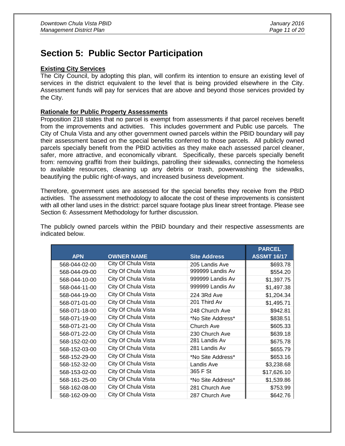## **Section 5: Public Sector Participation**

#### **Existing City Services**

The City Council, by adopting this plan, will confirm its intention to ensure an existing level of services in the district equivalent to the level that is being provided elsewhere in the City. Assessment funds will pay for services that are above and beyond those services provided by the City.

#### **Rationale for Public Property Assessments**

Proposition 218 states that no parcel is exempt from assessments if that parcel receives benefit from the improvements and activities. This includes government and Public use parcels. The City of Chula Vista and any other government owned parcels within the PBID boundary will pay their assessment based on the special benefits conferred to those parcels. All publicly owned parcels specially benefit from the PBID activities as they make each assessed parcel cleaner, safer, more attractive, and economically vibrant. Specifically, these parcels specially benefit from: removing graffiti from their buildings, patrolling their sidewalks, connecting the homeless to available resources, cleaning up any debris or trash, powerwashing the sidewalks, beautifying the public right-of-ways, and increased business development.

Therefore, government uses are assessed for the special benefits they receive from the PBID activities. The assessment methodology to allocate the cost of these improvements is consistent with all other land uses in the district: parcel square footage plus linear street frontage. Please see Section 6: Assessment Methodology for further discussion.

The publicly owned parcels within the PBID boundary and their respective assessments are indicated below.

|               |                     |                     | <b>PARCEL</b>      |
|---------------|---------------------|---------------------|--------------------|
| <b>APN</b>    | <b>OWNER NAME</b>   | <b>Site Address</b> | <b>ASSMT 16/17</b> |
| 568-044-02-00 | City Of Chula Vista | 205 Landis Ave      | \$693.78           |
| 568-044-09-00 | City Of Chula Vista | 999999 Landis Av    | \$554.20           |
| 568-044-10-00 | City Of Chula Vista | 999999 Landis Av    | \$1,397.75         |
| 568-044-11-00 | City Of Chula Vista | 999999 Landis Av    | \$1,497.38         |
| 568-044-19-00 | City Of Chula Vista | 224 3Rd Ave         | \$1,204.34         |
| 568-071-01-00 | City Of Chula Vista | 201 Third Av        | \$1,495.71         |
| 568-071-18-00 | City Of Chula Vista | 248 Church Ave      | \$942.81           |
| 568-071-19-00 | City Of Chula Vista | *No Site Address*   | \$838.51           |
| 568-071-21-00 | City Of Chula Vista | Church Ave          | \$605.33           |
| 568-071-22-00 | City Of Chula Vista | 230 Church Ave      | \$639.18           |
| 568-152-02-00 | City Of Chula Vista | 281 Landis Av       | \$675.78           |
| 568-152-03-00 | City Of Chula Vista | 281 Landis Av       | \$655.79           |
| 568-152-29-00 | City Of Chula Vista | *No Site Address*   | \$653.16           |
| 568-152-32-00 | City Of Chula Vista | Landis Ave          | \$3,238.68         |
| 568-153-02-00 | City Of Chula Vista | 365 F St            | \$17,626.10        |
| 568-161-25-00 | City Of Chula Vista | *No Site Address*   | \$1,539.86         |
| 568-162-08-00 | City Of Chula Vista | 281 Church Ave      | \$753.99           |
| 568-162-09-00 | City Of Chula Vista | 287 Church Ave      | \$642.76           |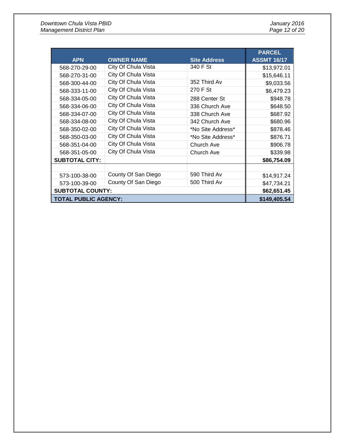| <b>APN</b>                  | <b>OWNER NAME</b>   | <b>Site Address</b> | <b>PARCEL</b><br><b>ASSMT 16/17</b> |
|-----------------------------|---------------------|---------------------|-------------------------------------|
| 568-270-29-00               | City Of Chula Vista | 340 F St            | \$13,972.01                         |
| 568-270-31-00               | City Of Chula Vista |                     | \$15,646.11                         |
| 568-300-44-00               | City Of Chula Vista | 352 Third Av        | \$9,033.56                          |
| 568-333-11-00               | City Of Chula Vista | 270 F St            | \$6,479.23                          |
| 568-334-05-00               | City Of Chula Vista | 288 Center St       | \$948.78                            |
| 568-334-06-00               | City Of Chula Vista | 336 Church Ave      | \$648.50                            |
| 568-334-07-00               | City Of Chula Vista | 338 Church Ave      | \$687.92                            |
| 568-334-08-00               | City Of Chula Vista | 342 Church Ave      | \$680.96                            |
| 568-350-02-00               | City Of Chula Vista | *No Site Address*   | \$878.46                            |
| 568-350-03-00               | City Of Chula Vista | *No Site Address*   | \$876.71                            |
| 568-351-04-00               | City Of Chula Vista | Church Ave          | \$906.78                            |
| 568-351-05-00               | City Of Chula Vista | Church Ave          | \$339.98                            |
| <b>SUBTOTAL CITY:</b>       |                     |                     | \$86,754.09                         |
|                             |                     |                     |                                     |
| 573-100-38-00               | County Of San Diego | 590 Third Av        | \$14,917.24                         |
| 573-100-39-00               | County Of San Diego | 500 Third Av        | \$47,734.21                         |
| <b>SUBTOTAL COUNTY:</b>     | \$62,651.45         |                     |                                     |
| <b>TOTAL PUBLIC AGENCY:</b> | \$149,405.54        |                     |                                     |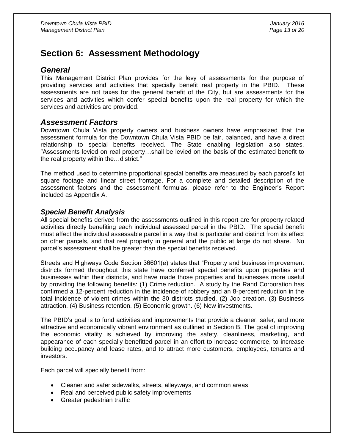## **Section 6: Assessment Methodology**

#### *General*

This Management District Plan provides for the levy of assessments for the purpose of providing services and activities that specially benefit real property in the PBID. These assessments are not taxes for the general benefit of the City, but are assessments for the services and activities which confer special benefits upon the real property for which the services and activities are provided.

#### *Assessment Factors*

Downtown Chula Vista property owners and business owners have emphasized that the assessment formula for the Downtown Chula Vista PBID be fair, balanced, and have a direct relationship to special benefits received. The State enabling legislation also states, "Assessments levied on real property…shall be levied on the basis of the estimated benefit to the real property within the…district."

The method used to determine proportional special benefits are measured by each parcel's lot square footage and linear street frontage. For a complete and detailed description of the assessment factors and the assessment formulas, please refer to the Engineer's Report included as Appendix A.

#### *Special Benefit Analysis*

All special benefits derived from the assessments outlined in this report are for property related activities directly benefiting each individual assessed parcel in the PBID. The special benefit must affect the individual assessable parcel in a way that is particular and distinct from its effect on other parcels, and that real property in general and the public at large do not share. No parcel's assessment shall be greater than the special benefits received.

Streets and Highways Code Section 36601(e) states that "Property and business improvement districts formed throughout this state have conferred special benefits upon properties and businesses within their districts, and have made those properties and businesses more useful by providing the following benefits: (1) Crime reduction. A study by the Rand Corporation has confirmed a 12-percent reduction in the incidence of robbery and an 8-percent reduction in the total incidence of violent crimes within the 30 districts studied. (2) Job creation. (3) Business attraction. (4) Business retention. (5) Economic growth. (6) New investments.

The PBID's goal is to fund activities and improvements that provide a cleaner, safer, and more attractive and economically vibrant environment as outlined in Section B. The goal of improving the economic vitality is achieved by improving the safety, cleanliness, marketing, and appearance of each specially benefitted parcel in an effort to increase commerce, to increase building occupancy and lease rates, and to attract more customers, employees, tenants and investors.

Each parcel will specially benefit from:

- Cleaner and safer sidewalks, streets, alleyways, and common areas
- Real and perceived public safety improvements
- Greater pedestrian traffic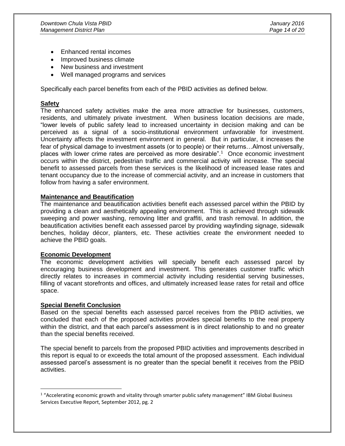- Enhanced rental incomes
- Improved business climate
- New business and investment
- Well managed programs and services

Specifically each parcel benefits from each of the PBID activities as defined below.

#### **Safety**

The enhanced safety activities make the area more attractive for businesses, customers, residents, and ultimately private investment. When business location decisions are made, "lower levels of public safety lead to increased uncertainty in decision making and can be perceived as a signal of a socio-institutional environment unfavorable for investment. Uncertainty affects the investment environment in general. But in particular, it increases the fear of physical damage to investment assets (or to people) or their returns…Almost universally, places with lower crime rates are perceived as more desirable".<sup>1</sup> Once economic investment occurs within the district, pedestrian traffic and commercial activity will increase. The special benefit to assessed parcels from these services is the likelihood of increased lease rates and tenant occupancy due to the increase of commercial activity, and an increase in customers that follow from having a safer environment.

#### **Maintenance and Beautification**

The maintenance and beautification activities benefit each assessed parcel within the PBID by providing a clean and aesthetically appealing environment. This is achieved through sidewalk sweeping and power washing, removing litter and graffiti, and trash removal. In addition, the beautification activities benefit each assessed parcel by providing wayfinding signage, sidewalk benches, holiday décor, planters, etc. These activities create the environment needed to achieve the PBID goals.

#### **Economic Development**

The economic development activities will specially benefit each assessed parcel by encouraging business development and investment. This generates customer traffic which directly relates to increases in commercial activity including residential serving businesses, filling of vacant storefronts and offices, and ultimately increased lease rates for retail and office space.

#### **Special Benefit Conclusion**

 $\overline{a}$ 

Based on the special benefits each assessed parcel receives from the PBID activities, we concluded that each of the proposed activities provides special benefits to the real property within the district, and that each parcel's assessment is in direct relationship to and no greater than the special benefits received.

The special benefit to parcels from the proposed PBID activities and improvements described in this report is equal to or exceeds the total amount of the proposed assessment. Each individual assessed parcel's assessment is no greater than the special benefit it receives from the PBID activities.

<sup>&</sup>lt;sup>1</sup> "Accelerating economic growth and vitality through smarter public safety management" IBM Global Business Services Executive Report, September 2012, pg. 2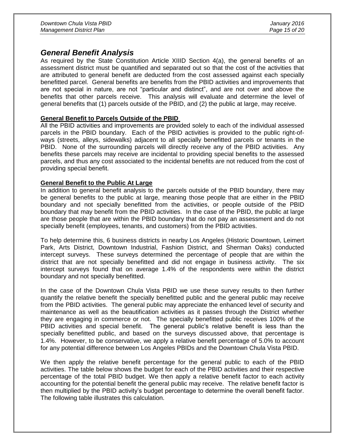#### *General Benefit Analysis*

As required by the State Constitution Article XIIID Section 4(a), the general benefits of an assessment district must be quantified and separated out so that the cost of the activities that are attributed to general benefit are deducted from the cost assessed against each specially benefitted parcel. General benefits are benefits from the PBID activities and improvements that are not special in nature, are not "particular and distinct", and are not over and above the benefits that other parcels receive. This analysis will evaluate and determine the level of general benefits that (1) parcels outside of the PBID, and (2) the public at large, may receive.

#### **General Benefit to Parcels Outside of the PBID**

All the PBID activities and improvements are provided solely to each of the individual assessed parcels in the PBID boundary. Each of the PBID activities is provided to the public right-ofways (streets, alleys, sidewalks) adjacent to all specially benefitted parcels or tenants in the PBID. None of the surrounding parcels will directly receive any of the PBID activities. Any benefits these parcels may receive are incidental to providing special benefits to the assessed parcels, and thus any cost associated to the incidental benefits are not reduced from the cost of providing special benefit.

#### **General Benefit to the Public At Large**

In addition to general benefit analysis to the parcels outside of the PBID boundary, there may be general benefits to the public at large, meaning those people that are either in the PBID boundary and not specially benefitted from the activities, or people outside of the PBID boundary that may benefit from the PBID activities. In the case of the PBID, the public at large are those people that are within the PBID boundary that do not pay an assessment and do not specially benefit (employees, tenants, and customers) from the PBID activities.

To help determine this, 6 business districts in nearby Los Angeles (Historic Downtown, Leimert Park, Arts District, Downtown Industrial, Fashion District, and Sherman Oaks) conducted intercept surveys. These surveys determined the percentage of people that are within the district that are not specially benefitted and did not engage in business activity. The six intercept surveys found that on average 1.4% of the respondents were within the district boundary and not specially benefitted.

In the case of the Downtown Chula Vista PBID we use these survey results to then further quantify the relative benefit the specially benefitted public and the general public may receive from the PBID activities. The general public may appreciate the enhanced level of security and maintenance as well as the beautification activities as it passes through the District whether they are engaging in commerce or not. The specially benefitted public receives 100% of the PBID activities and special benefit. The general public's relative benefit is less than the specially benefitted public, and based on the surveys discussed above, that percentage is 1.4%. However, to be conservative, we apply a relative benefit percentage of 5.0% to account for any potential difference between Los Angeles PBIDs and the Downtown Chula Vista PBID.

We then apply the relative benefit percentage for the general public to each of the PBID activities. The table below shows the budget for each of the PBID activities and their respective percentage of the total PBID budget. We then apply a relative benefit factor to each activity accounting for the potential benefit the general public may receive. The relative benefit factor is then multiplied by the PBID activity's budget percentage to determine the overall benefit factor. The following table illustrates this calculation.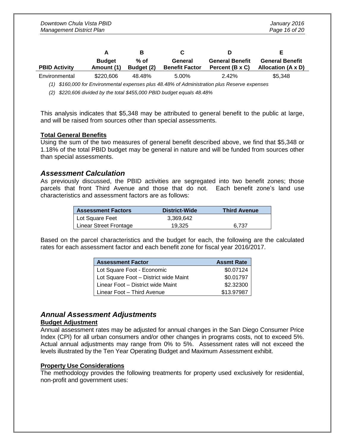|                      | A                           | в                    | C.                               |                                           |                                              |
|----------------------|-----------------------------|----------------------|----------------------------------|-------------------------------------------|----------------------------------------------|
| <b>PBID Activity</b> | <b>Budget</b><br>Amount (1) | $%$ of<br>Budget (2) | General<br><b>Benefit Factor</b> | <b>General Benefit</b><br>Percent (B x C) | <b>General Benefit</b><br>Allocation (A x D) |
| Environmental        | \$220.606                   | 48.48%               | 5.00%                            | 2.42%                                     | \$5.348                                      |

*(1) \$160,000 for Environmental expenses plus 48.48% of Administration plus Reserve expenses*

*(2) \$220,606 divided by the total \$455,000 PBID budget equals 48.48%*

This analysis indicates that \$5,348 may be attributed to general benefit to the public at large, and will be raised from sources other than special assessments.

#### **Total General Benefits**

Using the sum of the two measures of general benefit described above, we find that \$5,348 or 1.18% of the total PBID budget may be general in nature and will be funded from sources other than special assessments.

#### *Assessment Calculation*

As previously discussed, the PBID activities are segregated into two benefit zones; those parcels that front Third Avenue and those that do not. Each benefit zone's land use characteristics and assessment factors are as follows:

| <b>Assessment Factors</b> | District-Wide | <b>Third Avenue</b> |
|---------------------------|---------------|---------------------|
| Lot Square Feet           | 3.369.642     |                     |
| Linear Street Frontage    | 19,325        | 6.737               |

Based on the parcel characteristics and the budget for each, the following are the calculated rates for each assessment factor and each benefit zone for fiscal year 2016/2017.

| <b>Assessment Factor</b>              | <b>Assmt Rate</b> |
|---------------------------------------|-------------------|
| Lot Square Foot - Economic            | \$0.07124         |
| Lot Square Foot - District wide Maint | \$0.01797         |
| Linear Foot - District wide Maint     | \$2.32300         |
| Linear Foot - Third Avenue            | \$13.97987        |

#### *Annual Assessment Adjustments*

#### **Budget Adjustment**

Annual assessment rates may be adjusted for annual changes in the San Diego Consumer Price Index (CPI) for all urban consumers and/or other changes in programs costs, not to exceed 5%. Actual annual adjustments may range from 0% to 5%. Assessment rates will not exceed the levels illustrated by the Ten Year Operating Budget and Maximum Assessment exhibit.

#### **Property Use Considerations**

The methodology provides the following treatments for property used exclusively for residential, non-profit and government uses: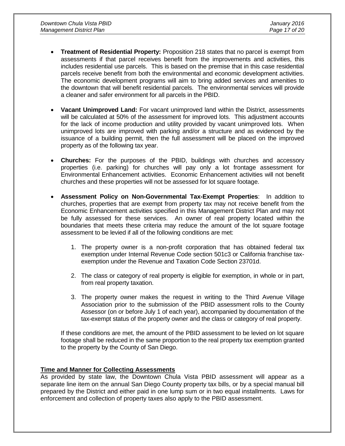- **Treatment of Residential Property:** Proposition 218 states that no parcel is exempt from assessments if that parcel receives benefit from the improvements and activities, this includes residential use parcels. This is based on the premise that in this case residential parcels receive benefit from both the environmental and economic development activities. The economic development programs will aim to bring added services and amenities to the downtown that will benefit residential parcels. The environmental services will provide a cleaner and safer environment for all parcels in the PBID.
- **Vacant Unimproved Land:** For vacant unimproved land within the District, assessments will be calculated at 50% of the assessment for improved lots. This adjustment accounts for the lack of income production and utility provided by vacant unimproved lots. When unimproved lots are improved with parking and/or a structure and as evidenced by the issuance of a building permit, then the full assessment will be placed on the improved property as of the following tax year.
- **Churches:** For the purposes of the PBID, buildings with churches and accessory properties (i.e. parking) for churches will pay only a lot frontage assessment for Environmental Enhancement activities. Economic Enhancement activities will not benefit churches and these properties will not be assessed for lot square footage.
- **Assessment Policy on Non-Governmental Tax-Exempt Properties**: In addition to churches, properties that are exempt from property tax may not receive benefit from the Economic Enhancement activities specified in this Management District Plan and may not be fully assessed for these services. An owner of real property located within the boundaries that meets these criteria may reduce the amount of the lot square footage assessment to be levied if all of the following conditions are met:
	- 1. The property owner is a non-profit corporation that has obtained federal tax exemption under Internal Revenue Code section 501c3 or California franchise taxexemption under the Revenue and Taxation Code Section 23701d.
	- 2. The class or category of real property is eligible for exemption, in whole or in part, from real property taxation.
	- 3. The property owner makes the request in writing to the Third Avenue Village Association prior to the submission of the PBID assessment rolls to the County Assessor (on or before July 1 of each year), accompanied by documentation of the tax-exempt status of the property owner and the class or category of real property.

If these conditions are met, the amount of the PBID assessment to be levied on lot square footage shall be reduced in the same proportion to the real property tax exemption granted to the property by the County of San Diego.

#### **Time and Manner for Collecting Assessments**

As provided by state law, the Downtown Chula Vista PBID assessment will appear as a separate line item on the annual San Diego County property tax bills, or by a special manual bill prepared by the District and either paid in one lump sum or in two equal installments. Laws for enforcement and collection of property taxes also apply to the PBID assessment.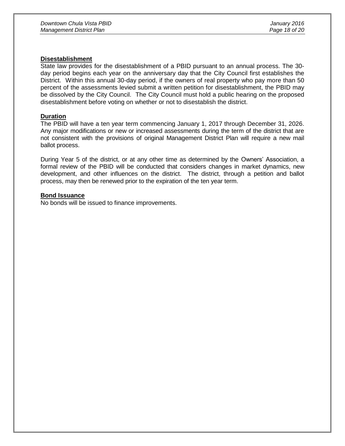#### **Disestablishment**

State law provides for the disestablishment of a PBID pursuant to an annual process. The 30 day period begins each year on the anniversary day that the City Council first establishes the District. Within this annual 30-day period, if the owners of real property who pay more than 50 percent of the assessments levied submit a written petition for disestablishment, the PBID may be dissolved by the City Council. The City Council must hold a public hearing on the proposed disestablishment before voting on whether or not to disestablish the district.

#### **Duration**

The PBID will have a ten year term commencing January 1, 2017 through December 31, 2026. Any major modifications or new or increased assessments during the term of the district that are not consistent with the provisions of original Management District Plan will require a new mail ballot process.

During Year 5 of the district, or at any other time as determined by the Owners' Association, a formal review of the PBID will be conducted that considers changes in market dynamics, new development, and other influences on the district. The district, through a petition and ballot process, may then be renewed prior to the expiration of the ten year term.

#### **Bond Issuance**

No bonds will be issued to finance improvements.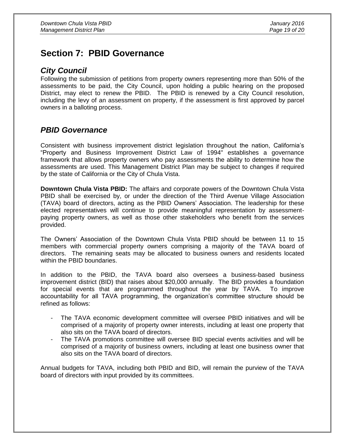### **Section 7: PBID Governance**

#### *City Council*

Following the submission of petitions from property owners representing more than 50% of the assessments to be paid, the City Council, upon holding a public hearing on the proposed District, may elect to renew the PBID. The PBID is renewed by a City Council resolution, including the levy of an assessment on property, if the assessment is first approved by parcel owners in a balloting process.

#### *PBID Governance*

Consistent with business improvement district legislation throughout the nation, California's "Property and Business Improvement District Law of 1994" establishes a governance framework that allows property owners who pay assessments the ability to determine how the assessments are used. This Management District Plan may be subject to changes if required by the state of California or the City of Chula Vista.

**Downtown Chula Vista PBID:** The affairs and corporate powers of the Downtown Chula Vista PBID shall be exercised by, or under the direction of the Third Avenue Village Association (TAVA) board of directors, acting as the PBID Owners' Association. The leadership for these elected representatives will continue to provide meaningful representation by assessmentpaying property owners, as well as those other stakeholders who benefit from the services provided.

The Owners' Association of the Downtown Chula Vista PBID should be between 11 to 15 members with commercial property owners comprising a majority of the TAVA board of directors. The remaining seats may be allocated to business owners and residents located within the PBID boundaries.

In addition to the PBID, the TAVA board also oversees a business-based business improvement district (BID) that raises about \$20,000 annually. The BID provides a foundation for special events that are programmed throughout the year by TAVA. To improve accountability for all TAVA programming, the organization's committee structure should be refined as follows:

- The TAVA economic development committee will oversee PBID initiatives and will be comprised of a majority of property owner interests, including at least one property that also sits on the TAVA board of directors.
- The TAVA promotions committee will oversee BID special events activities and will be comprised of a majority of business owners, including at least one business owner that also sits on the TAVA board of directors.

Annual budgets for TAVA, including both PBID and BID, will remain the purview of the TAVA board of directors with input provided by its committees.